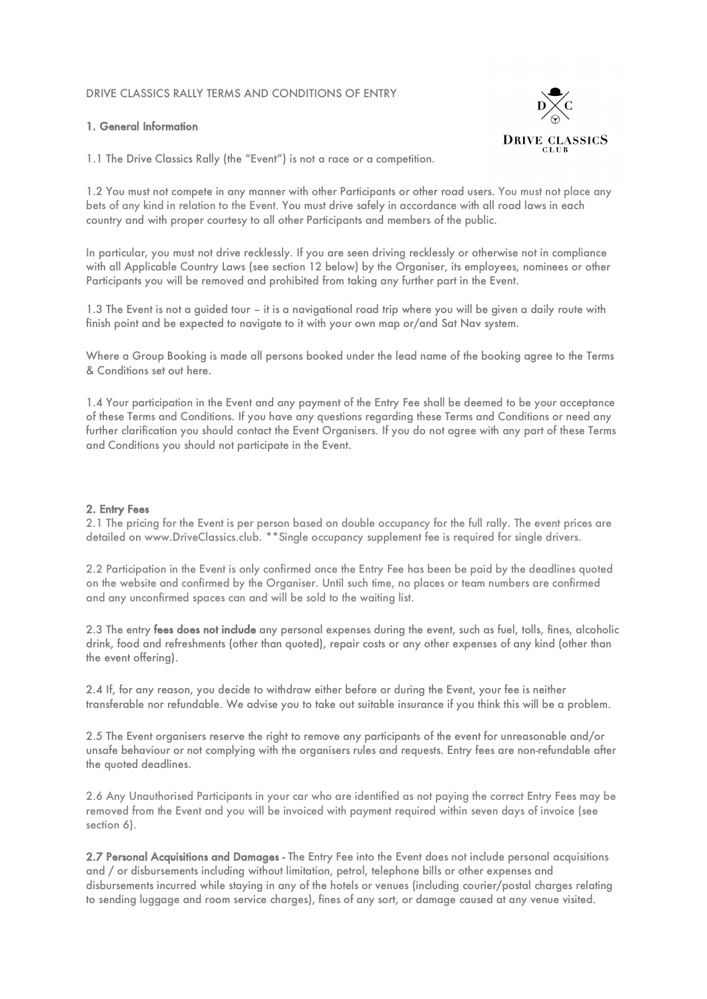## DRIVE CLASSICS RALLY TERMS AND CONDITIONS OF ENTRY

## 1. General Information



1.1 The Drive Classics Rally (the "Event") is not a race or a competition.

1.2 You must not compete in any manner with other Participants or other road users. You must not place any bets of any kind in relation to the Event. You must drive safely in accordance with all road laws in each country and with proper courtesy to all other Participants and members of the public.

In particular, you must not drive recklessly. If you are seen driving recklessly or otherwise not in compliance with all Applicable Country Laws (see section 12 below) by the Organiser, its employees, nominees or other Participants you will be removed and prohibited from taking any further part in the Event.

1.3 The Event is not a guided tour – it is a navigational road trip where you will be given a daily route with finish point and be expected to navigate to it with your own map or/and Sat Nav system.

Where a Group Booking is made all persons booked under the lead name of the booking agree to the Terms & Conditions set out here.

1.4 Your participation in the Event and any payment of the Entry Fee shall be deemed to be your acceptance of these Terms and Conditions. If you have any questions regarding these Terms and Conditions or need any further clarification you should contact the Event Organisers. If you do not agree with any part of these Terms and Conditions you should not participate in the Event.

# 2. Entry Fees

2.1 The pricing for the Event is per person based on double occupancy for the full rally. The event prices are detailed on www.DriveClassics.club. \*\*Single occupancy supplement fee is required for single drivers.

2.2 Participation in the Event is only confirmed once the Entry Fee has been be paid by the deadlines quoted on the website and confirmed by the Organiser. Until such time, no places or team numbers are confirmed and any unconfirmed spaces can and will be sold to the waiting list.

2.3 The entry fees does not include any personal expenses during the event, such as fuel, tolls, fines, alcoholic drink, food and refreshments (other than quoted), repair costs or any other expenses of any kind (other than the event offering).

2.4 If, for any reason, you decide to withdraw either before or during the Event, your fee is neither transferable nor refundable. We advise you to take out suitable insurance if you think this will be a problem.

2.5 The Event organisers reserve the right to remove any participants of the event for unreasonable and/or unsafe behaviour or not complying with the organisers rules and requests. Entry fees are non-refundable after the quoted deadlines.

2.6 Any Unauthorised Participants in your car who are identified as not paying the correct Entry Fees may be removed from the Event and you will be invoiced with payment required within seven days of invoice (see section 6).

2.7 Personal Acquisitions and Damages - The Entry Fee into the Event does not include personal acquisitions and / or disbursements including without limitation, petrol, telephone bills or other expenses and disbursements incurred while staying in any of the hotels or venues (including courier/postal charges relating to sending luggage and room service charges), fines of any sort, or damage caused at any venue visited.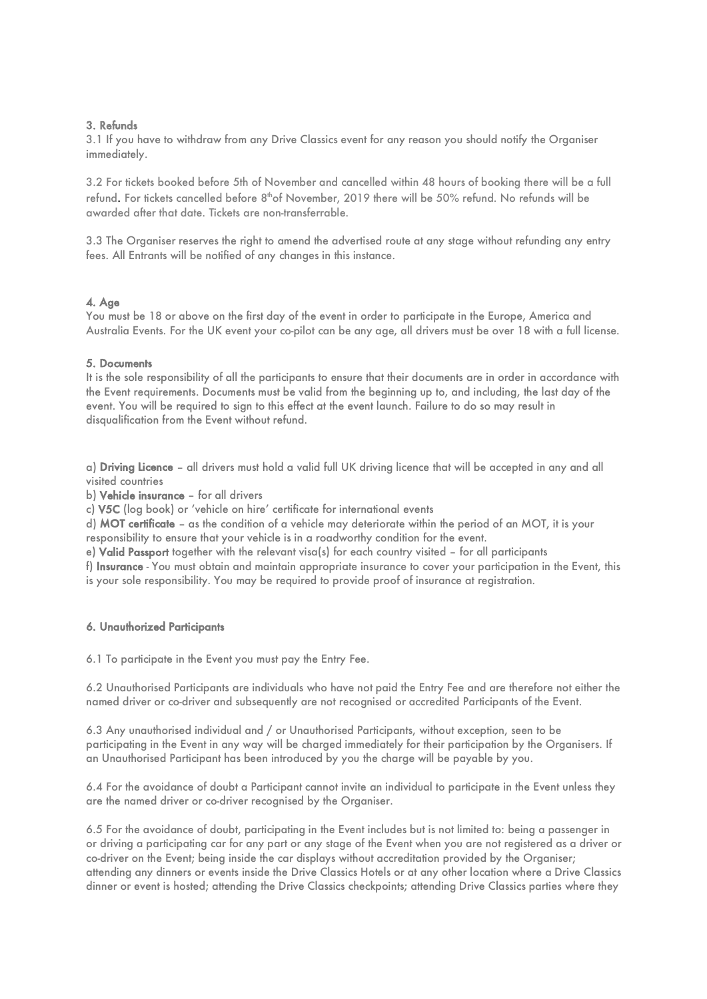## 3. Refunds

3.1 If you have to withdraw from any Drive Classics event for any reason you should notify the Organiser immediately.

3.2 For tickets booked before 5th of November and cancelled within 48 hours of booking there will be a full refund. For tickets cancelled before 8<sup>th</sup>of November, 2019 there will be 50% refund. No refunds will be awarded after that date. Tickets are non-transferrable.

3.3 The Organiser reserves the right to amend the advertised route at any stage without refunding any entry fees. All Entrants will be notified of any changes in this instance.

### 4. Age

You must be 18 or above on the first day of the event in order to participate in the Europe, America and Australia Events. For the UK event your co-pilot can be any age, all drivers must be over 18 with a full license.

### 5. Documents

It is the sole responsibility of all the participants to ensure that their documents are in order in accordance with the Event requirements. Documents must be valid from the beginning up to, and including, the last day of the event. You will be required to sign to this effect at the event launch. Failure to do so may result in disqualification from the Event without refund.

a) Driving Licence – all drivers must hold a valid full UK driving licence that will be accepted in any and all visited countries

b) Vehicle insurance – for all drivers

c) V5C (log book) or 'vehicle on hire' certificate for international events

d) MOT certificate – as the condition of a vehicle may deteriorate within the period of an MOT, it is your responsibility to ensure that your vehicle is in a roadworthy condition for the event.

e) Valid Passport together with the relevant visa(s) for each country visited – for all participants

f) Insurance - You must obtain and maintain appropriate insurance to cover your participation in the Event, this is your sole responsibility. You may be required to provide proof of insurance at registration.

#### 6. Unauthorized Participants

6.1 To participate in the Event you must pay the Entry Fee.

6.2 Unauthorised Participants are individuals who have not paid the Entry Fee and are therefore not either the named driver or co-driver and subsequently are not recognised or accredited Participants of the Event.

6.3 Any unauthorised individual and / or Unauthorised Participants, without exception, seen to be participating in the Event in any way will be charged immediately for their participation by the Organisers. If an Unauthorised Participant has been introduced by you the charge will be payable by you.

6.4 For the avoidance of doubt a Participant cannot invite an individual to participate in the Event unless they are the named driver or co-driver recognised by the Organiser.

6.5 For the avoidance of doubt, participating in the Event includes but is not limited to: being a passenger in or driving a participating car for any part or any stage of the Event when you are not registered as a driver or co-driver on the Event; being inside the car displays without accreditation provided by the Organiser; attending any dinners or events inside the Drive Classics Hotels or at any other location where a Drive Classics dinner or event is hosted; attending the Drive Classics checkpoints; attending Drive Classics parties where they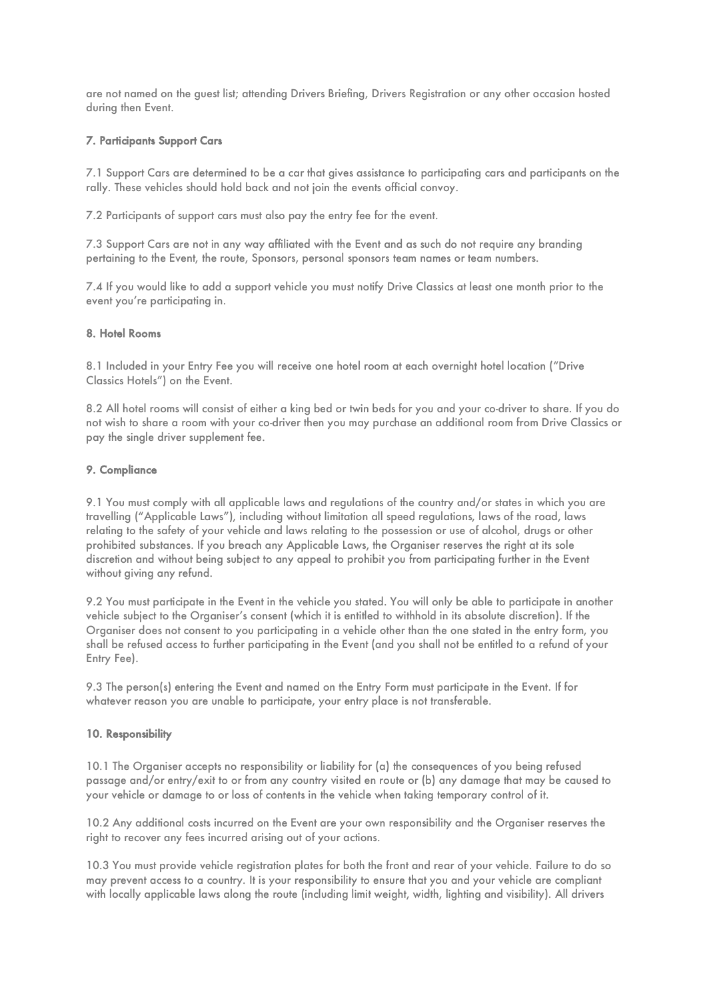are not named on the guest list; attending Drivers Briefing, Drivers Registration or any other occasion hosted during then Event.

## 7. Participants Support Cars

7.1 Support Cars are determined to be a car that gives assistance to participating cars and participants on the rally. These vehicles should hold back and not join the events official convoy.

7.2 Participants of support cars must also pay the entry fee for the event.

7.3 Support Cars are not in any way affiliated with the Event and as such do not require any branding pertaining to the Event, the route, Sponsors, personal sponsors team names or team numbers.

7.4 If you would like to add a support vehicle you must notify Drive Classics at least one month prior to the event you're participating in.

## 8. Hotel Rooms

8.1 Included in your Entry Fee you will receive one hotel room at each overnight hotel location ("Drive Classics Hotels") on the Event.

8.2 All hotel rooms will consist of either a king bed or twin beds for you and your co-driver to share. If you do not wish to share a room with your co-driver then you may purchase an additional room from Drive Classics or pay the single driver supplement fee.

## 9. Compliance

9.1 You must comply with all applicable laws and regulations of the country and/or states in which you are travelling ("Applicable Laws"), including without limitation all speed regulations, laws of the road, laws relating to the safety of your vehicle and laws relating to the possession or use of alcohol, drugs or other prohibited substances. If you breach any Applicable Laws, the Organiser reserves the right at its sole discretion and without being subject to any appeal to prohibit you from participating further in the Event without giving any refund.

9.2 You must participate in the Event in the vehicle you stated. You will only be able to participate in another vehicle subject to the Organiser's consent (which it is entitled to withhold in its absolute discretion). If the Organiser does not consent to you participating in a vehicle other than the one stated in the entry form, you shall be refused access to further participating in the Event (and you shall not be entitled to a refund of your Entry Fee).

9.3 The person(s) entering the Event and named on the Entry Form must participate in the Event. If for whatever reason you are unable to participate, your entry place is not transferable.

# 10. Responsibility

10.1 The Organiser accepts no responsibility or liability for (a) the consequences of you being refused passage and/or entry/exit to or from any country visited en route or (b) any damage that may be caused to your vehicle or damage to or loss of contents in the vehicle when taking temporary control of it.

10.2 Any additional costs incurred on the Event are your own responsibility and the Organiser reserves the right to recover any fees incurred arising out of your actions.

10.3 You must provide vehicle registration plates for both the front and rear of your vehicle. Failure to do so may prevent access to a country. It is your responsibility to ensure that you and your vehicle are compliant with locally applicable laws along the route (including limit weight, width, lighting and visibility). All drivers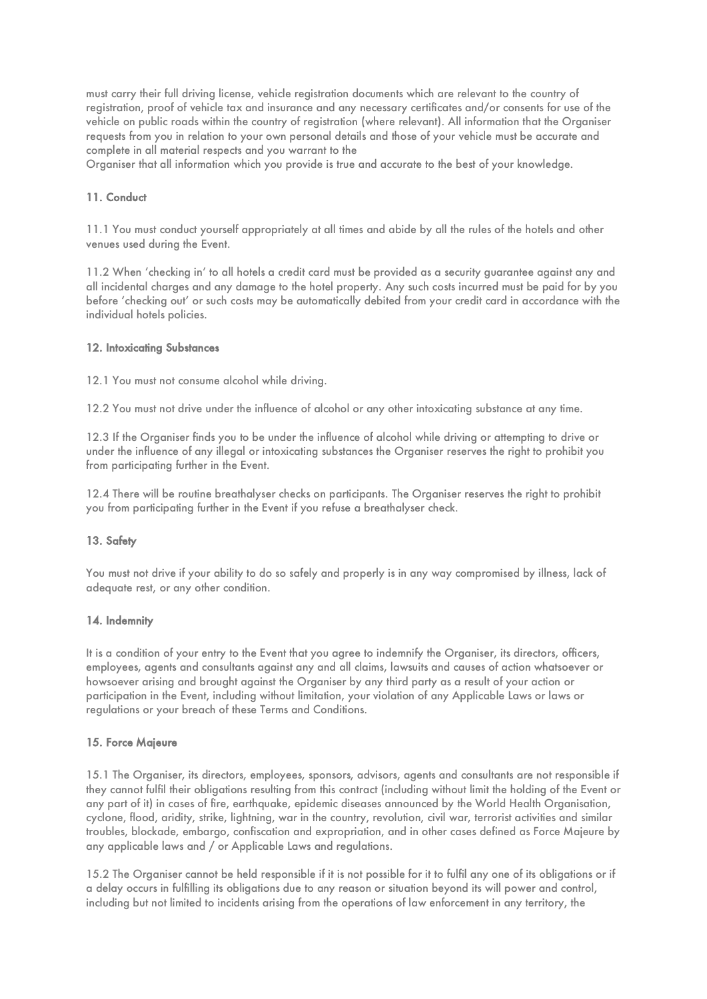must carry their full driving license, vehicle registration documents which are relevant to the country of registration, proof of vehicle tax and insurance and any necessary certificates and/or consents for use of the vehicle on public roads within the country of registration (where relevant). All information that the Organiser requests from you in relation to your own personal details and those of your vehicle must be accurate and complete in all material respects and you warrant to the

Organiser that all information which you provide is true and accurate to the best of your knowledge.

### 11. Conduct

11.1 You must conduct yourself appropriately at all times and abide by all the rules of the hotels and other venues used during the Event.

11.2 When 'checking in' to all hotels a credit card must be provided as a security guarantee against any and all incidental charges and any damage to the hotel property. Any such costs incurred must be paid for by you before 'checking out' or such costs may be automatically debited from your credit card in accordance with the individual hotels policies.

### 12. Intoxicating Substances

12.1 You must not consume alcohol while driving.

12.2 You must not drive under the influence of alcohol or any other intoxicating substance at any time.

12.3 If the Organiser finds you to be under the influence of alcohol while driving or attempting to drive or under the influence of any illegal or intoxicating substances the Organiser reserves the right to prohibit you from participating further in the Event.

12.4 There will be routine breathalyser checks on participants. The Organiser reserves the right to prohibit you from participating further in the Event if you refuse a breathalyser check.

### 13. Safety

You must not drive if your ability to do so safely and properly is in any way compromised by illness, lack of adequate rest, or any other condition.

### 14. Indemnity

It is a condition of your entry to the Event that you agree to indemnify the Organiser, its directors, officers, employees, agents and consultants against any and all claims, lawsuits and causes of action whatsoever or howsoever arising and brought against the Organiser by any third party as a result of your action or participation in the Event, including without limitation, your violation of any Applicable Laws or laws or regulations or your breach of these Terms and Conditions.

#### 15. Force Majeure

15.1 The Organiser, its directors, employees, sponsors, advisors, agents and consultants are not responsible if they cannot fulfil their obligations resulting from this contract (including without limit the holding of the Event or any part of it) in cases of fire, earthquake, epidemic diseases announced by the World Health Organisation, cyclone, flood, aridity, strike, lightning, war in the country, revolution, civil war, terrorist activities and similar troubles, blockade, embargo, confiscation and expropriation, and in other cases defined as Force Majeure by any applicable laws and / or Applicable Laws and regulations.

15.2 The Organiser cannot be held responsible if it is not possible for it to fulfil any one of its obligations or if a delay occurs in fulfilling its obligations due to any reason or situation beyond its will power and control, including but not limited to incidents arising from the operations of law enforcement in any territory, the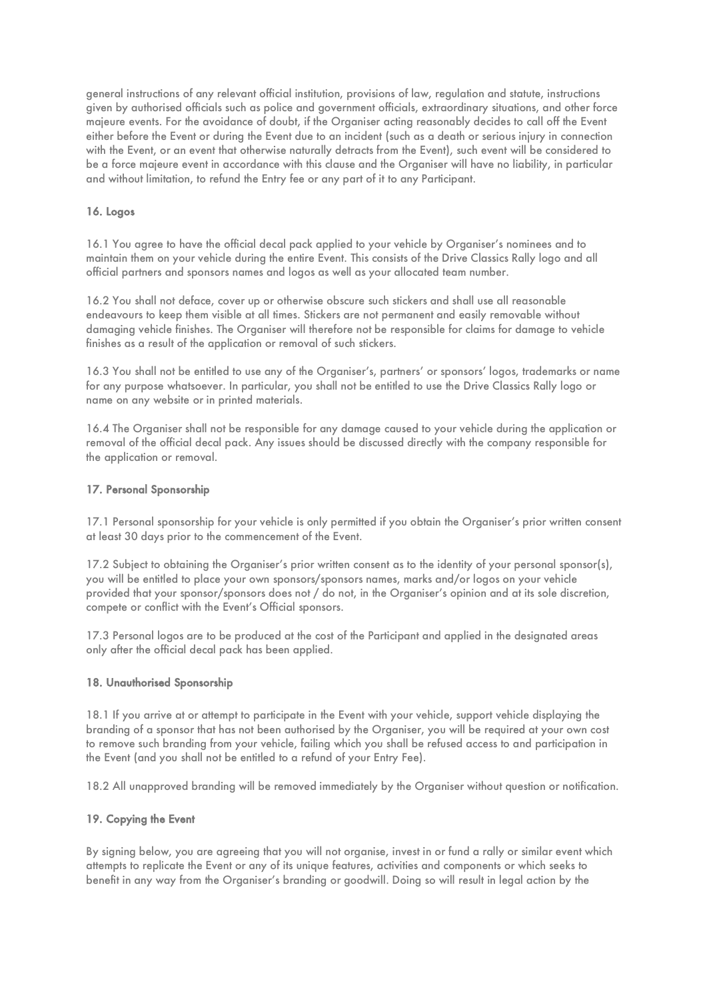general instructions of any relevant official institution, provisions of law, regulation and statute, instructions given by authorised officials such as police and government officials, extraordinary situations, and other force majeure events. For the avoidance of doubt, if the Organiser acting reasonably decides to call off the Event either before the Event or during the Event due to an incident (such as a death or serious injury in connection with the Event, or an event that otherwise naturally detracts from the Event), such event will be considered to be a force majeure event in accordance with this clause and the Organiser will have no liability, in particular and without limitation, to refund the Entry fee or any part of it to any Participant.

## 16. Logos

16.1 You agree to have the official decal pack applied to your vehicle by Organiser's nominees and to maintain them on your vehicle during the entire Event. This consists of the Drive Classics Rally logo and all official partners and sponsors names and logos as well as your allocated team number.

16.2 You shall not deface, cover up or otherwise obscure such stickers and shall use all reasonable endeavours to keep them visible at all times. Stickers are not permanent and easily removable without damaging vehicle finishes. The Organiser will therefore not be responsible for claims for damage to vehicle finishes as a result of the application or removal of such stickers.

16.3 You shall not be entitled to use any of the Organiser's, partners' or sponsors' logos, trademarks or name for any purpose whatsoever. In particular, you shall not be entitled to use the Drive Classics Rally logo or name on any website or in printed materials.

16.4 The Organiser shall not be responsible for any damage caused to your vehicle during the application or removal of the official decal pack. Any issues should be discussed directly with the company responsible for the application or removal.

## 17. Personal Sponsorship

17.1 Personal sponsorship for your vehicle is only permitted if you obtain the Organiser's prior written consent at least 30 days prior to the commencement of the Event.

17.2 Subject to obtaining the Organiser's prior written consent as to the identity of your personal sponsor(s), you will be entitled to place your own sponsors/sponsors names, marks and/or logos on your vehicle provided that your sponsor/sponsors does not / do not, in the Organiser's opinion and at its sole discretion, compete or conflict with the Event's Official sponsors.

17.3 Personal logos are to be produced at the cost of the Participant and applied in the designated areas only after the official decal pack has been applied.

### 18. Unauthorised Sponsorship

18.1 If you arrive at or attempt to participate in the Event with your vehicle, support vehicle displaying the branding of a sponsor that has not been authorised by the Organiser, you will be required at your own cost to remove such branding from your vehicle, failing which you shall be refused access to and participation in the Event (and you shall not be entitled to a refund of your Entry Fee).

18.2 All unapproved branding will be removed immediately by the Organiser without question or notification.

### 19. Copying the Event

By signing below, you are agreeing that you will not organise, invest in or fund a rally or similar event which attempts to replicate the Event or any of its unique features, activities and components or which seeks to benefit in any way from the Organiser's branding or goodwill. Doing so will result in legal action by the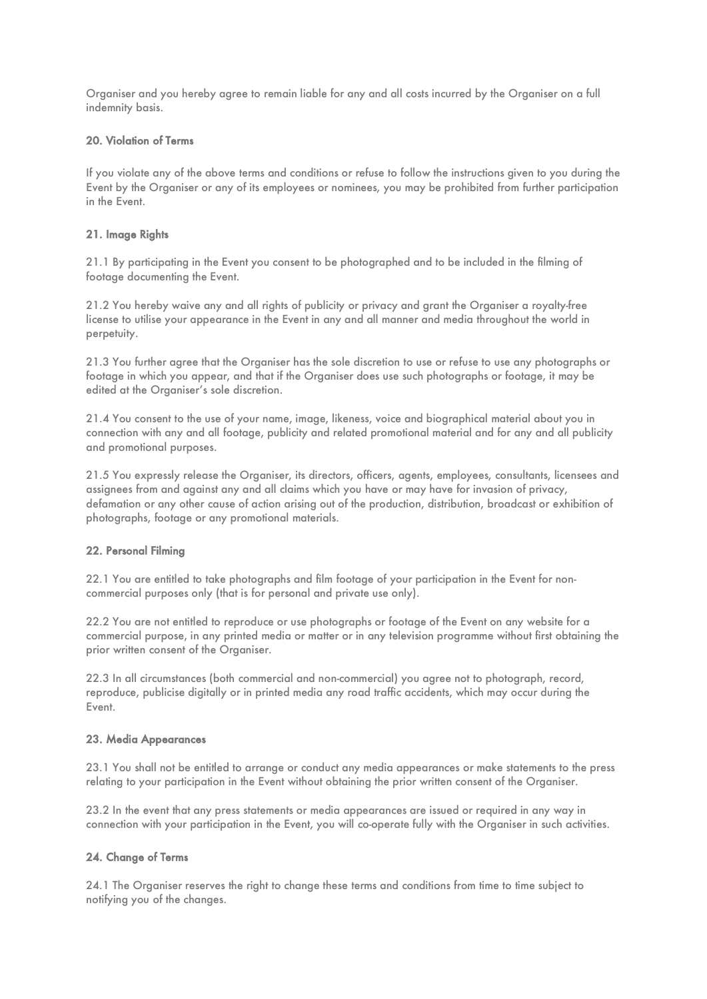Organiser and you hereby agree to remain liable for any and all costs incurred by the Organiser on a full indemnity basis.

## 20. Violation of Terms

If you violate any of the above terms and conditions or refuse to follow the instructions given to you during the Event by the Organiser or any of its employees or nominees, you may be prohibited from further participation in the Event.

## 21. Image Rights

21.1 By participating in the Event you consent to be photographed and to be included in the filming of footage documenting the Event.

21.2 You hereby waive any and all rights of publicity or privacy and grant the Organiser a royalty-free license to utilise your appearance in the Event in any and all manner and media throughout the world in perpetuity.

21.3 You further agree that the Organiser has the sole discretion to use or refuse to use any photographs or footage in which you appear, and that if the Organiser does use such photographs or footage, it may be edited at the Organiser's sole discretion.

21.4 You consent to the use of your name, image, likeness, voice and biographical material about you in connection with any and all footage, publicity and related promotional material and for any and all publicity and promotional purposes.

21.5 You expressly release the Organiser, its directors, officers, agents, employees, consultants, licensees and assignees from and against any and all claims which you have or may have for invasion of privacy, defamation or any other cause of action arising out of the production, distribution, broadcast or exhibition of photographs, footage or any promotional materials.

# 22. Personal Filming

22.1 You are entitled to take photographs and film footage of your participation in the Event for noncommercial purposes only (that is for personal and private use only).

22.2 You are not entitled to reproduce or use photographs or footage of the Event on any website for a commercial purpose, in any printed media or matter or in any television programme without first obtaining the prior written consent of the Organiser.

22.3 In all circumstances (both commercial and non-commercial) you agree not to photograph, record, reproduce, publicise digitally or in printed media any road traffic accidents, which may occur during the Event.

# 23. Media Appearances

23.1 You shall not be entitled to arrange or conduct any media appearances or make statements to the press relating to your participation in the Event without obtaining the prior written consent of the Organiser.

23.2 In the event that any press statements or media appearances are issued or required in any way in connection with your participation in the Event, you will co-operate fully with the Organiser in such activities.

# 24. Change of Terms

24.1 The Organiser reserves the right to change these terms and conditions from time to time subject to notifying you of the changes.